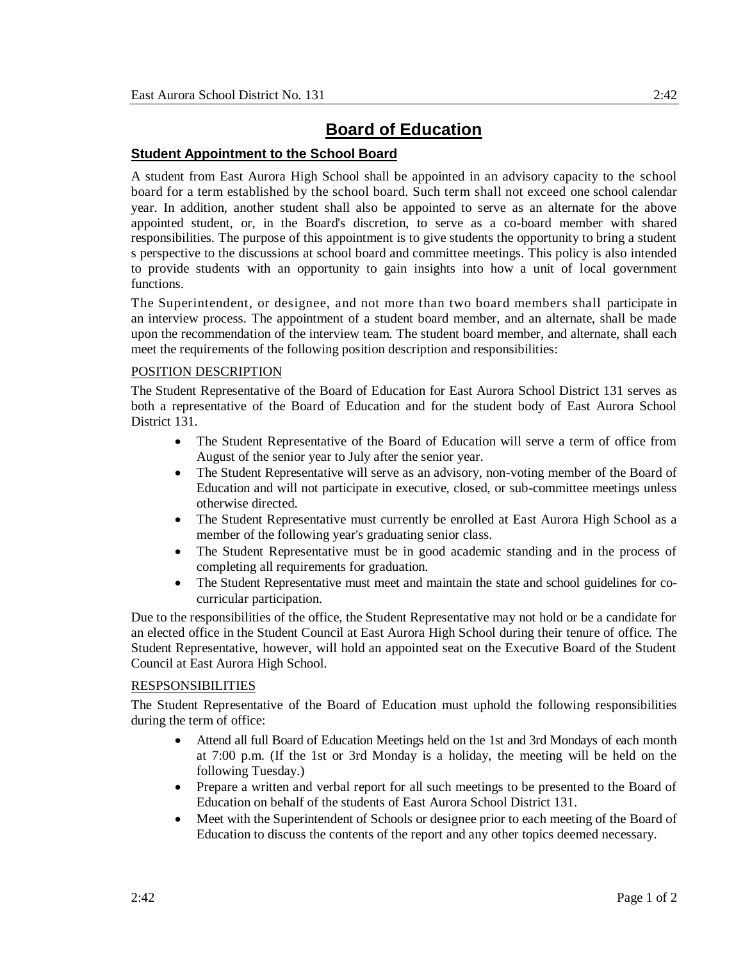## **Board of Education**

## **Student Appointment to the School Board**

A student from East Aurora High School shall be appointed in an advisory capacity to the school board for a term established by the school board. Such term shall not exceed one school calendar year. In addition, another student shall also be appointed to serve as an alternate for the above appointed student, or, in the Board's discretion, to serve as a co-board member with shared responsibilities. The purpose of this appointment is to give students the opportunity to bring a student s perspective to the discussions at school board and committee meetings. This policy is also intended to provide students with an opportunity to gain insights into how a unit of local government functions.

The Superintendent, or designee, and not more than two board members shall participate in an interview process. The appointment of a student board member, and an alternate, shall be made upon the recommendation of the interview team. The student board member, and alternate, shall each meet the requirements of the following position description and responsibilities:

## POSITION DESCRIPTION

The Student Representative of the Board of Education for East Aurora School District 131 serves as both a representative of the Board of Education and for the student body of East Aurora School District 131.

- The Student Representative of the Board of Education will serve a term of office from August of the senior year to July after the senior year.
- The Student Representative will serve as an advisory, non-voting member of the Board of Education and will not participate in executive, closed, or sub-committee meetings unless otherwise directed.
- The Student Representative must currently be enrolled at East Aurora High School as a member of the following year's graduating senior class.
- The Student Representative must be in good academic standing and in the process of completing all requirements for graduation.
- The Student Representative must meet and maintain the state and school guidelines for cocurricular participation.

Due to the responsibilities of the office, the Student Representative may not hold or be a candidate for an elected office in the Student Council at East Aurora High School during their tenure of office. The Student Representative, however, will hold an appointed seat on the Executive Board of the Student Council at East Aurora High School.

## RESPSONSIBILITIES

The Student Representative of the Board of Education must uphold the following responsibilities during the term of office:

- Attend all full Board of Education Meetings held on the 1st and 3rd Mondays of each month at 7:00 p.m. (If the 1st or 3rd Monday is a holiday, the meeting will be held on the following Tuesday.)
- Prepare a written and verbal report for all such meetings to be presented to the Board of Education on behalf of the students of East Aurora School District 131.
- Meet with the Superintendent of Schools or designee prior to each meeting of the Board of Education to discuss the contents of the report and any other topics deemed necessary.